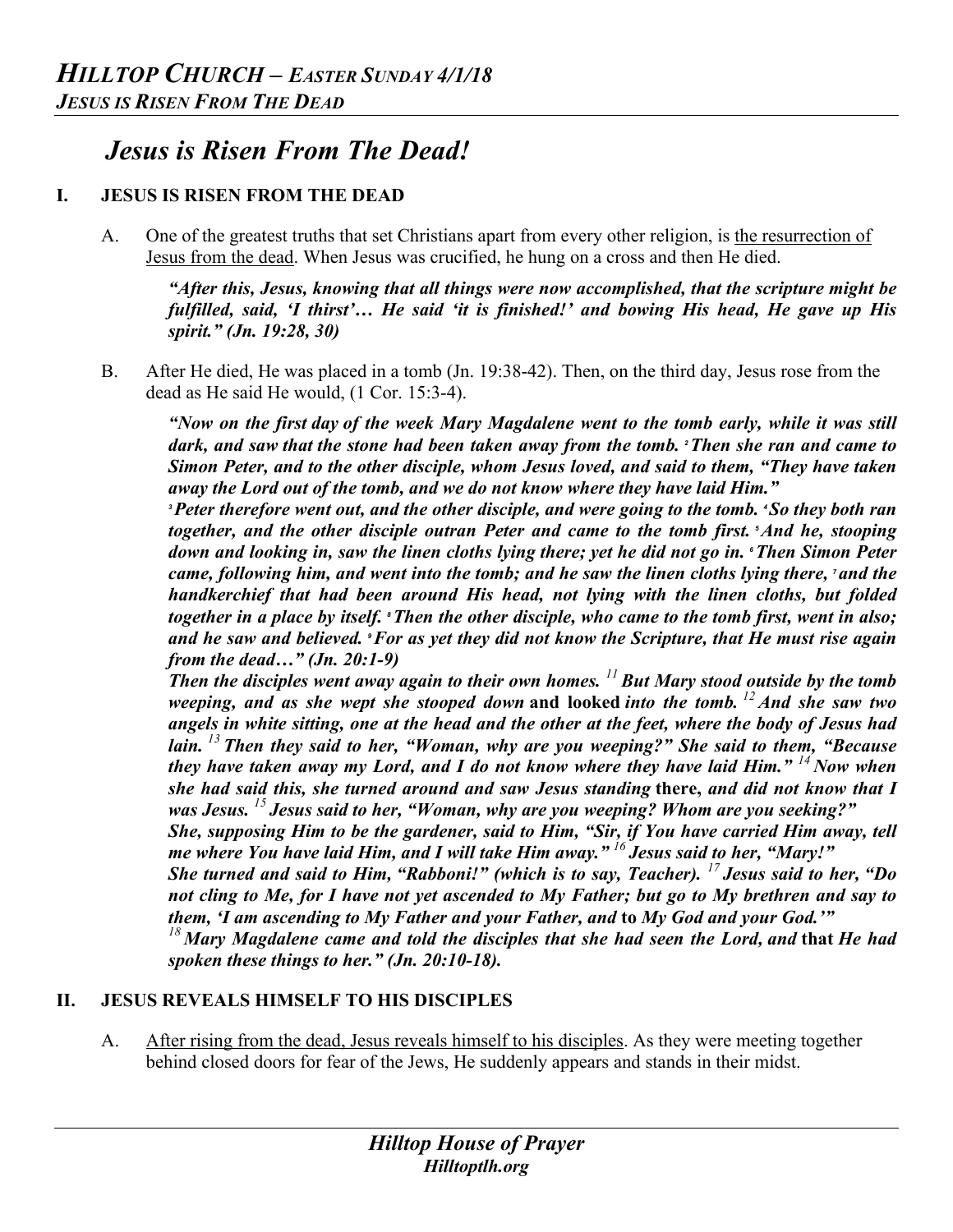# *Jesus is Risen From The Dead!*

## **I. JESUS IS RISEN FROM THE DEAD**

A. One of the greatest truths that set Christians apart from every other religion, is the resurrection of Jesus from the dead. When Jesus was crucified, he hung on a cross and then He died.

*"After this, Jesus, knowing that all things were now accomplished, that the scripture might be fulfilled, said, 'I thirst'… He said 'it is finished!' and bowing His head, He gave up His spirit." (Jn. 19:28, 30)* 

B. After He died, He was placed in a tomb (Jn. 19:38-42). Then, on the third day, Jesus rose from the dead as He said He would, (1 Cor. 15:3-4).

*"Now on the first day of the week Mary Magdalene went to the tomb early, while it was still dark, and saw that the stone had been taken away from the tomb. <sup>2</sup>Then she ran and came to Simon Peter, and to the other disciple, whom Jesus loved, and said to them, "They have taken away the Lord out of the tomb, and we do not know where they have laid Him."*

*<sup>3</sup>Peter therefore went out, and the other disciple, and were going to the tomb. <sup>4</sup> So they both ran together, and the other disciple outran Peter and came to the tomb first. <sup>5</sup>And he, stooping down and looking in, saw the linen cloths lying there; yet he did not go in. <sup>6</sup>Then Simon Peter came, following him, and went into the tomb; and he saw the linen cloths lying there, <sup>7</sup> and the handkerchief that had been around His head, not lying with the linen cloths, but folded together in a place by itself. <sup>8</sup>Then the other disciple, who came to the tomb first, went in also; and he saw and believed. <sup>9</sup>For as yet they did not know the Scripture, that He must rise again from the dead…" (Jn. 20:1-9)*

*Then the disciples went away again to their own homes. <sup>11</sup> But Mary stood outside by the tomb weeping, and as she wept she stooped down* **and looked** *into the tomb. <sup>12</sup> And she saw two angels in white sitting, one at the head and the other at the feet, where the body of Jesus had lain. <sup>13</sup> Then they said to her, "Woman, why are you weeping?" She said to them, "Because they have taken away my Lord, and I do not know where they have laid Him." <sup>14</sup> Now when she had said this, she turned around and saw Jesus standing* **there,** *and did not know that I was Jesus. <sup>15</sup> Jesus said to her, "Woman, why are you weeping? Whom are you seeking?"*

*She, supposing Him to be the gardener, said to Him, "Sir, if You have carried Him away, tell me where You have laid Him, and I will take Him away." <sup>16</sup> Jesus said to her, "Mary!"*

*She turned and said to Him, "Rabboni!" (which is to say, Teacher). <sup>17</sup> Jesus said to her, "Do not cling to Me, for I have not yet ascended to My Father; but go to My brethren and say to them, 'I am ascending to My Father and your Father, and* **to** *My God and your God.'"*

*<sup>18</sup> Mary Magdalene came and told the disciples that she had seen the Lord, and* **that** *He had spoken these things to her." (Jn. 20:10-18).*

### **II. JESUS REVEALS HIMSELF TO HIS DISCIPLES**

A. After rising from the dead, Jesus reveals himself to his disciples. As they were meeting together behind closed doors for fear of the Jews, He suddenly appears and stands in their midst.